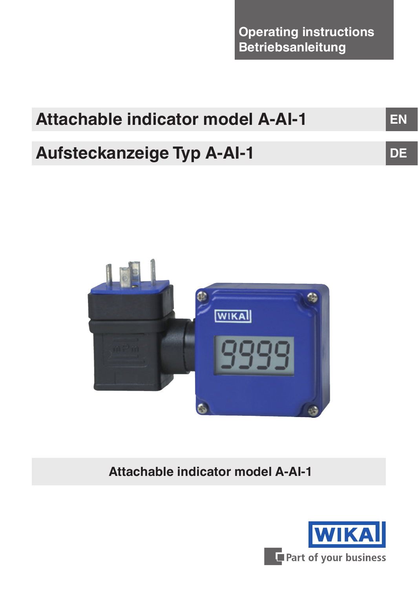**DE**

# **Attachable indicator model A-AI-1 EN**

# **Aufsteckanzeige Typ A-AI-1**



**Attachable indicator model A-AI-1**

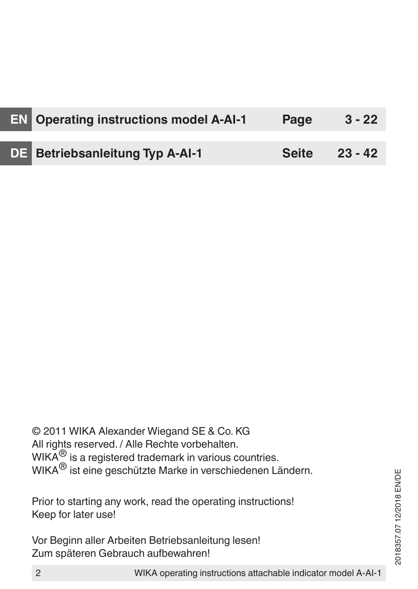| <b>EN Operating instructions model A-AI-1</b> | Page         | $3 - 22$  |
|-----------------------------------------------|--------------|-----------|
|                                               |              |           |
| <b>DE</b> Betriebsanleitung Typ A-AI-1        | <b>Seite</b> | $23 - 42$ |

© 2011 WIKA Alexander Wiegand SE & Co. KG All rights reserved. / Alle Rechte vorbehalten. WIKA<sup>®</sup> is a registered trademark in various countries. WIKA® ist eine geschützte Marke in verschiedenen Ländern.

Prior to starting any work, read the operating instructions! Keep for later use!

Vor Beginn aller Arbeiten Betriebsanleitung lesen! Zum späteren Gebrauch aufbewahren!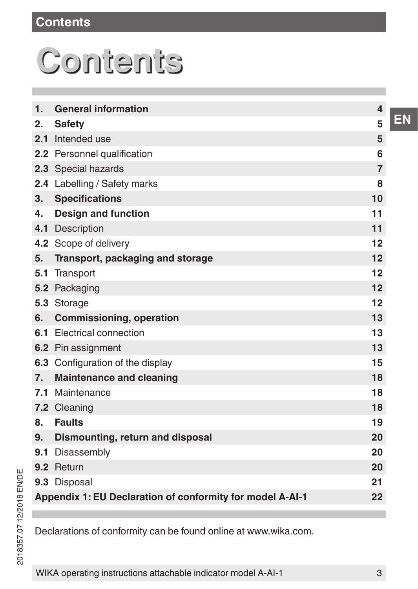# **Contents**

# **Contents**

| 1.  | <b>General information</b>                                | 4              |
|-----|-----------------------------------------------------------|----------------|
| 2.  | <b>Safety</b>                                             | 5              |
|     | 2.1 Intended use                                          | 5              |
|     | 2.2 Personnel qualification                               | 6              |
|     | 2.3 Special hazards                                       | $\overline{7}$ |
|     | 2.4 Labelling / Safety marks                              | 8              |
| 3.  | <b>Specifications</b>                                     | 10             |
| 4.  | <b>Design and function</b>                                | 11             |
|     | 4.1 Description                                           | 11             |
|     | 4.2 Scope of delivery                                     | 12             |
| 5.  | Transport, packaging and storage                          | 12             |
|     | 5.1 Transport                                             | 12             |
|     | 5.2 Packaging                                             | 12             |
|     | 5.3 Storage                                               | 12             |
| 6.  | Commissioning, operation                                  | 13             |
|     | 6.1 Electrical connection                                 | 13             |
|     | 6.2 Pin assignment                                        | 13             |
|     | 6.3 Configuration of the display                          | 15             |
| 7.  | <b>Maintenance and cleaning</b>                           | 18             |
| 7.1 | Maintenance                                               | 18             |
|     | 7.2 Cleaning                                              | 18             |
| 8.  | <b>Faults</b>                                             | 19             |
| 9.  | Dismounting, return and disposal                          | 20             |
|     | 9.1 Disassembly                                           | 20             |
|     | 9.2 Return                                                | 20             |
|     | 9.3 Disposal                                              | 21             |
|     | Appendix 1: EU Declaration of conformity for model A-AI-1 | 22             |
|     |                                                           |                |

Declarations of conformity can be found online at www.wika.com.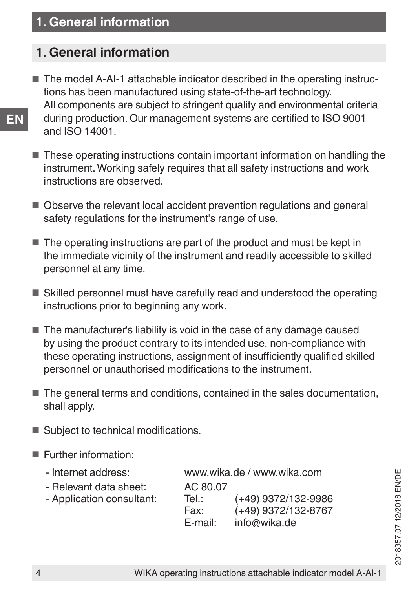# **1. General information**

- The model A-AI-1 attachable indicator described in the operating instructions has been manufactured using state-of-the-art technology. All components are subject to stringent quality and environmental criteria during production. Our management systems are certified to ISO 9001 and ISO 14001.
- These operating instructions contain important information on handling the instrument. Working safely requires that all safety instructions and work instructions are observed.
- Observe the relevant local accident prevention regulations and general safety regulations for the instrument's range of use.
- The operating instructions are part of the product and must be kept in the immediate vicinity of the instrument and readily accessible to skilled personnel at any time.
- Skilled personnel must have carefully read and understood the operating instructions prior to beginning any work.
- The manufacturer's liability is void in the case of any damage caused by using the product contrary to its intended use, non-compliance with these operating instructions, assignment of insufficiently qualified skilled personnel or unauthorised modifications to the instrument.
- The general terms and conditions, contained in the sales documentation, shall apply.
- Subject to technical modifications.
- Further information:

| - Internet address: | www.wika.de/www.wika.com |
|---------------------|--------------------------|
|                     |                          |

- Relevant data sheet: <br>- Application consultant: Tel.:
- 

- Application consultant: Tel.: (+49) 9372/132-9986 Fax: (+49) 9372/132-8767<br>F-mail: info@wika.de info@wika.de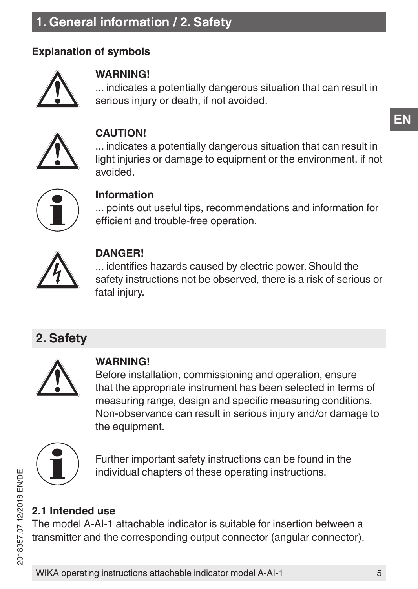## **Explanation of symbols**



#### **WARNING!**

... indicates a potentially dangerous situation that can result in serious injury or death, if not avoided.



## **CAUTION!**

... indicates a potentially dangerous situation that can result in light injuries or damage to equipment or the environment, if not avoided.



#### **Information**

... points out useful tips, recommendations and information for efficient and trouble-free operation.



## **DANGER!**

... identifies hazards caused by electric power. Should the safety instructions not be observed, there is a risk of serious or fatal injury.

## **2. Safety**



#### **WARNING!**

Before installation, commissioning and operation, ensure that the appropriate instrument has been selected in terms of measuring range, design and specific measuring conditions. Non-observance can result in serious injury and/or damage to the equipment.



Further important safety instructions can be found in the individual chapters of these operating instructions.

### **2.1 Intended use**

The model A-AI-1 attachable indicator is suitable for insertion between a transmitter and the corresponding output connector (angular connector).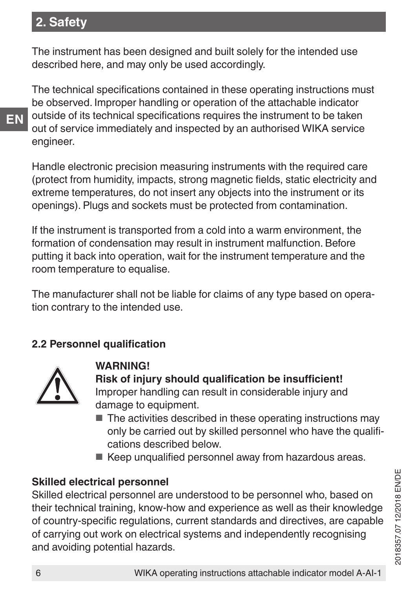## **2. Safety**

The instrument has been designed and built solely for the intended use described here, and may only be used accordingly.

The technical specifications contained in these operating instructions must be observed. Improper handling or operation of the attachable indicator outside of its technical specifications requires the instrument to be taken out of service immediately and inspected by an authorised WIKA service engineer.

Handle electronic precision measuring instruments with the required care (protect from humidity, impacts, strong magnetic fields, static electricity and extreme temperatures, do not insert any objects into the instrument or its openings). Plugs and sockets must be protected from contamination.

If the instrument is transported from a cold into a warm environment, the formation of condensation may result in instrument malfunction. Before putting it back into operation, wait for the instrument temperature and the room temperature to equalise.

The manufacturer shall not be liable for claims of any type based on operation contrary to the intended use.

#### **2.2 Personnel qualification**



#### **WARNING!**

**Risk of injury should qualification be insufficient!** Improper handling can result in considerable injury and damage to equipment.

- The activities described in these operating instructions may only be carried out by skilled personnel who have the qualifications described below.
- Keep unqualified personnel away from hazardous areas.

#### **Skilled electrical personnel**

Skilled electrical personnel are understood to be personnel who, based on their technical training, know-how and experience as well as their knowledge of country-specific regulations, current standards and directives, are capable of carrying out work on electrical systems and independently recognising and avoiding potential hazards.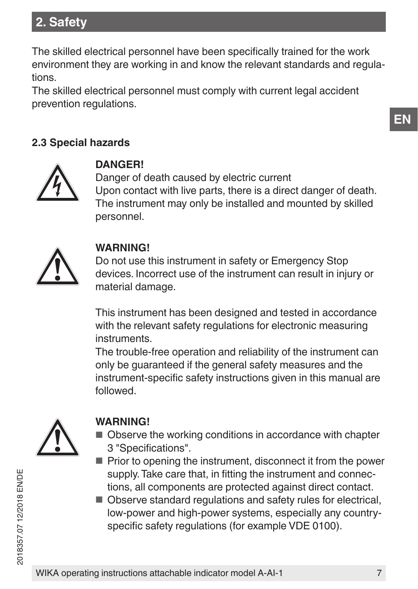# **2. Safety**

The skilled electrical personnel have been specifically trained for the work environment they are working in and know the relevant standards and regulations.

The skilled electrical personnel must comply with current legal accident prevention regulations.

#### **2.3 Special hazards**



#### **DANGER!**

Danger of death caused by electric current Upon contact with live parts, there is a direct danger of death. The instrument may only be installed and mounted by skilled personnel.



#### **WARNING!**

Do not use this instrument in safety or Emergency Stop devices. Incorrect use of the instrument can result in injury or material damage.

This instrument has been designed and tested in accordance with the relevant safety regulations for electronic measuring instruments.

The trouble-free operation and reliability of the instrument can only be guaranteed if the general safety measures and the instrument-specific safety instructions given in this manual are followed.



#### **WARNING!**

- Observe the working conditions in accordance with chapter 3 "Specifications".
- Prior to opening the instrument, disconnect it from the power supply. Take care that, in fitting the instrument and connections, all components are protected against direct contact.
- Observe standard regulations and safety rules for electrical, low-power and high-power systems, especially any countryspecific safety regulations (for example VDE 0100).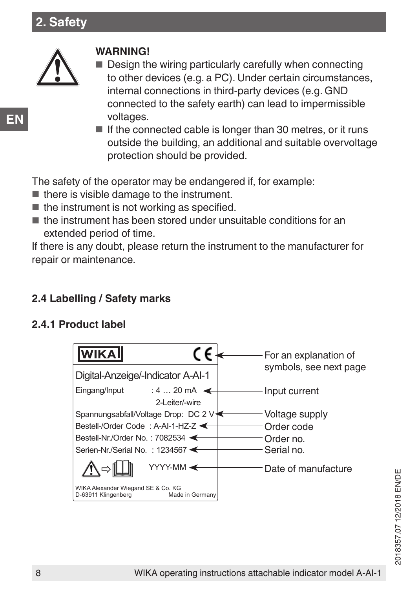

**EN**

## **WARNING!**

- Design the wiring particularly carefully when connecting to other devices (e.g. a PC). Under certain circumstances, internal connections in third-party devices (e.g. GND connected to the safety earth) can lead to impermissible voltages.
- If the connected cable is longer than 30 metres, or it runs outside the building, an additional and suitable overvoltage protection should be provided.

The safety of the operator may be endangered if, for example:

- there is visible damage to the instrument.
- the instrument is not working as specified.
- the instrument has been stored under unsuitable conditions for an extended period of time.

If there is any doubt, please return the instrument to the manufacturer for repair or maintenance.

## **2.4 Labelling / Safety marks**

#### **2.4.1 Product label**

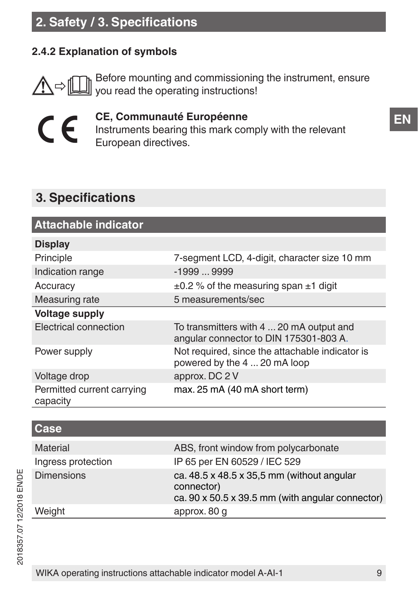# **2. Safety / 3. Specifications**

## **2.4.2 Explanation of symbols**



Before mounting and commissioning the instrument, ensure you read the operating instructions!



#### **CE, Communauté Européenne** Instruments bearing this mark comply with the relevant European directives.

# **3. Specifications**

| <b>Attachable indicator</b>            |                                                                                    |
|----------------------------------------|------------------------------------------------------------------------------------|
| <b>Display</b>                         |                                                                                    |
| Principle                              | 7-segment LCD, 4-digit, character size 10 mm                                       |
| Indication range                       | $-19999999$                                                                        |
| Accuracy                               | $\pm 0.2$ % of the measuring span $\pm 1$ digit                                    |
| Measuring rate                         | 5 measurements/sec                                                                 |
| <b>Voltage supply</b>                  |                                                                                    |
| Electrical connection                  | To transmitters with 4  20 mA output and<br>angular connector to DIN 175301-803 A. |
| Power supply                           | Not required, since the attachable indicator is<br>powered by the 4  20 mA loop    |
| Voltage drop                           | approx. DC 2 V                                                                     |
| Permitted current carrying<br>capacity | max. 25 mA (40 mA short term)                                                      |

| <b>Case</b>        |                                                                                                                          |
|--------------------|--------------------------------------------------------------------------------------------------------------------------|
| <b>Material</b>    | ABS, front window from polycarbonate                                                                                     |
| Ingress protection | IP 65 per EN 60529 / IEC 529                                                                                             |
| <b>Dimensions</b>  | ca. $48.5 \times 48.5 \times 35.5$ mm (without angular<br>connector)<br>ca. 90 x 50.5 x 39.5 mm (with angular connector) |
| Weight             | approx. 80 g                                                                                                             |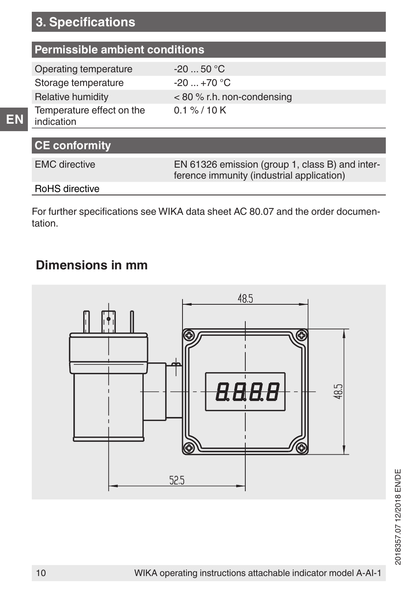# **3. Specifications**

| Permissible ambient conditions          |                           |  |  |
|-----------------------------------------|---------------------------|--|--|
| Operating temperature                   | $-2050 °C$                |  |  |
| Storage temperature                     | $-20+70$ °C               |  |  |
| Relative humidity                       | <80 % r.h. non-condensing |  |  |
| Temperature effect on the<br>indication | $0.1\% / 10K$             |  |  |
|                                         |                           |  |  |

## **EN**

#### **CE conformity**

EMC directive EN 61326 emission (group 1, class B) and interference immunity (industrial application)

RoHS directive

For further specifications see WIKA data sheet AC 80.07 and the order documentation.

## **Dimensions in mm**

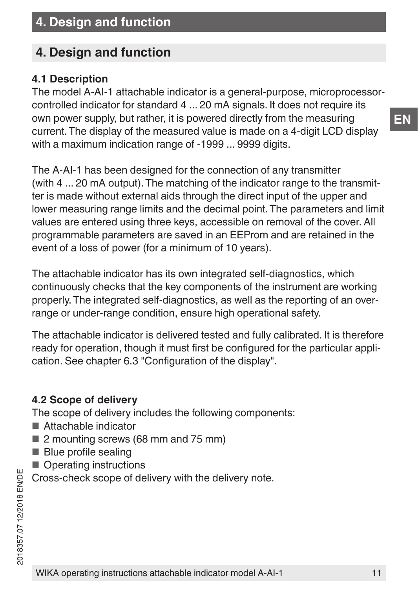# **4. Design and function**

## **4.1 Description**

The model A-AI-1 attachable indicator is a general-purpose, microprocessorcontrolled indicator for standard 4 ... 20 mA signals. It does not require its own power supply, but rather, it is powered directly from the measuring current. The display of the measured value is made on a 4-digit LCD display with a maximum indication range of -1999 ... 9999 digits.

The A-AI-1 has been designed for the connection of any transmitter (with 4 ... 20 mA output). The matching of the indicator range to the transmitter is made without external aids through the direct input of the upper and lower measuring range limits and the decimal point. The parameters and limit values are entered using three keys, accessible on removal of the cover. All programmable parameters are saved in an EEProm and are retained in the event of a loss of power (for a minimum of 10 years).

The attachable indicator has its own integrated self-diagnostics, which continuously checks that the key components of the instrument are working properly. The integrated self-diagnostics, as well as the reporting of an overrange or under-range condition, ensure high operational safety.

The attachable indicator is delivered tested and fully calibrated. It is therefore ready for operation, though it must first be configured for the particular application. See chapter 6.3 "Configuration of the display".

## **4.2 Scope of delivery**

The scope of delivery includes the following components:

- Attachable indicator
- 2 mounting screws (68 mm and 75 mm)
- Blue profile sealing
- Operating instructions

Cross-check scope of delivery with the delivery note.

**EN**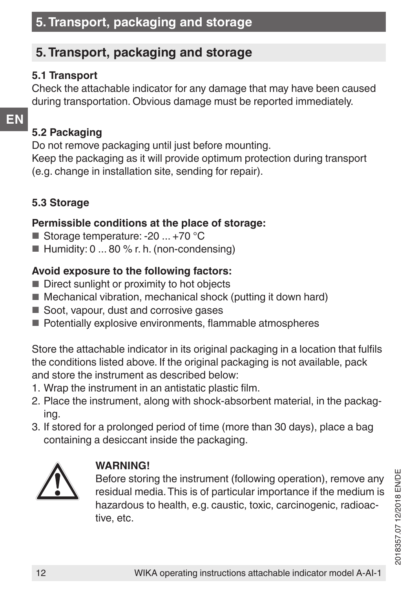# **5. Transport, packaging and storage**

#### **5.1 Transport**

Check the attachable indicator for any damage that may have been caused during transportation. Obvious damage must be reported immediately.

## **5.2 Packaging**

Do not remove packaging until just before mounting. Keep the packaging as it will provide optimum protection during transport (e.g. change in installation site, sending for repair).

## **5.3 Storage**

#### **Permissible conditions at the place of storage:**

- Storage temperature: -20 ... +70 °C
- Humidity: 0 ... 80 % r. h. (non-condensing)

#### **Avoid exposure to the following factors:**

- Direct sunlight or proximity to hot objects
- Mechanical vibration, mechanical shock (putting it down hard)
- Soot, vapour, dust and corrosive gases
- Potentially explosive environments, flammable atmospheres

Store the attachable indicator in its original packaging in a location that fulfils the conditions listed above. If the original packaging is not available, pack and store the instrument as described below:

- 1. Wrap the instrument in an antistatic plastic film.
- 2. Place the instrument, along with shock-absorbent material, in the packaging.
- 3. If stored for a prolonged period of time (more than 30 days), place a bag containing a desiccant inside the packaging.



#### **WARNING!**

Before storing the instrument (following operation), remove any residual media. This is of particular importance if the medium is hazardous to health, e.g. caustic, toxic, carcinogenic, radioactive, etc.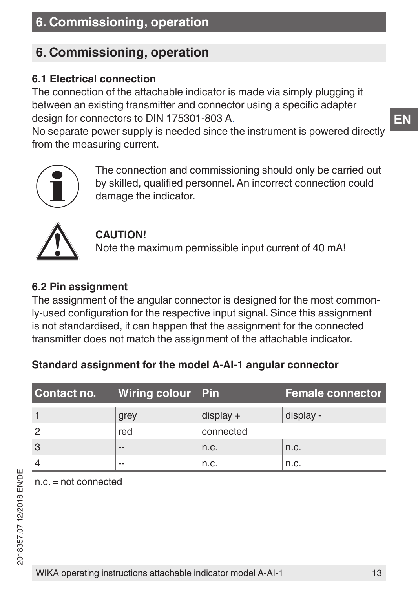## **6.1 Electrical connection**

The connection of the attachable indicator is made via simply plugging it between an existing transmitter and connector using a specific adapter design for connectors to DIN 175301-803 A.

No separate power supply is needed since the instrument is powered directly from the measuring current.



The connection and commissioning should only be carried out by skilled, qualified personnel. An incorrect connection could damage the indicator.



#### **CAUTION!**

Note the maximum permissible input current of 40 mA!

#### **6.2 Pin assignment**

The assignment of the angular connector is designed for the most commonly-used configuration for the respective input signal. Since this assignment is not standardised, it can happen that the assignment for the connected transmitter does not match the assignment of the attachable indicator.

## **Standard assignment for the model A-AI-1 angular connector**

| Contact no.   | Wiring colour Pin |             | <b>Female connector</b> |
|---------------|-------------------|-------------|-------------------------|
|               | grey              | $display +$ | display -               |
| $\mathcal{P}$ | red               | connected   |                         |
| -3            | $- -$             | n.c.        | n.c.                    |
|               | --                | n.c.        | n.c.                    |

 $n.e. = not connected$ 

**EN**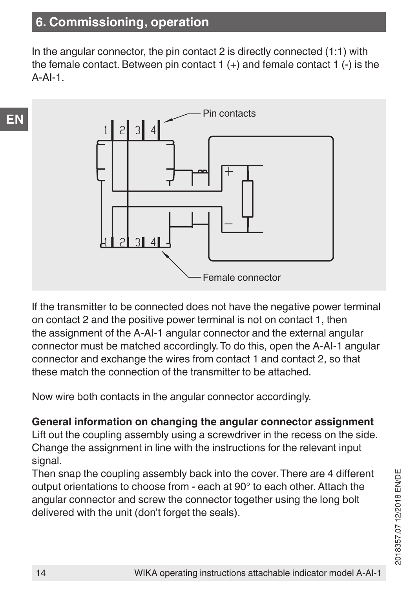In the angular connector, the pin contact 2 is directly connected (1:1) with the female contact. Between pin contact 1 (+) and female contact 1 (-) is the  $A-AI-1$ 



If the transmitter to be connected does not have the negative power terminal on contact 2 and the positive power terminal is not on contact 1, then the assignment of the A-AI-1 angular connector and the external angular connector must be matched accordingly. To do this, open the A-AI-1 angular connector and exchange the wires from contact 1 and contact 2, so that these match the connection of the transmitter to be attached.

Now wire both contacts in the angular connector accordingly.

#### **General information on changing the angular connector assignment**

Lift out the coupling assembly using a screwdriver in the recess on the side. Change the assignment in line with the instructions for the relevant input signal.

Then snap the coupling assembly back into the cover. There are 4 different output orientations to choose from - each at 90° to each other. Attach the angular connector and screw the connector together using the long bolt delivered with the unit (don't forget the seals).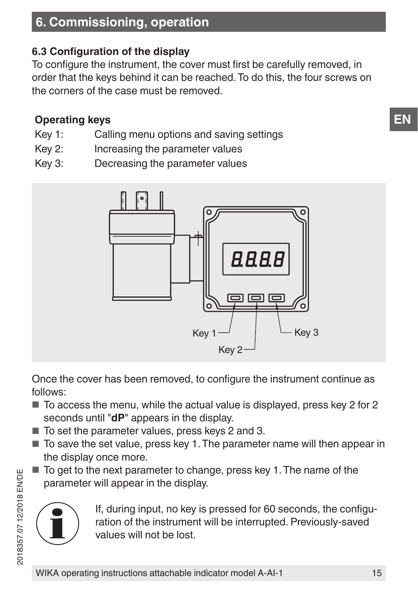## **6.3 Configuration of the display**

To configure the instrument, the cover must first be carefully removed, in order that the keys behind it can be reached. To do this, the four screws on the corners of the case must be removed.

## **Operating keys**

- Key 1: Calling menu options and saving settings
- Key 2: Increasing the parameter values
- Key 3: Decreasing the parameter values



Once the cover has been removed, to configure the instrument continue as follows:

- To access the menu, while the actual value is displayed, press key 2 for 2 seconds until "**dP**" appears in the display.
- To set the parameter values, press keys 2 and 3.
- To save the set value, press key 1. The parameter name will then appear in the display once more.
- To get to the next parameter to change, press key 1. The name of the parameter will appear in the display.



If, during input, no key is pressed for 60 seconds, the configuration of the instrument will be interrupted. Previously-saved values will not be lost.

**EN**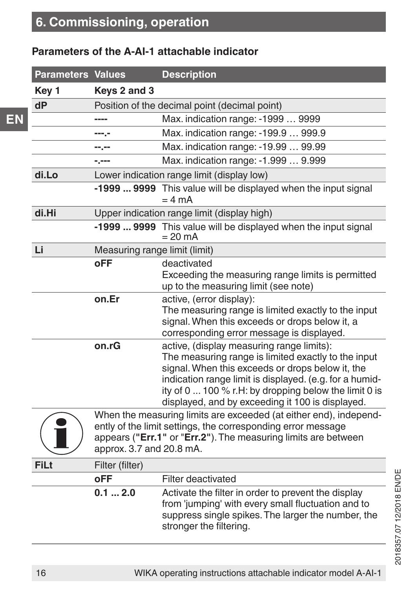## **Parameters of the A-AI-1 attachable indicator**

| <b>Parameters Values</b> |                                                                                                                                                                                                                                 | <b>Description</b>                                                                                                                                                                                                                                                                                                           |  |
|--------------------------|---------------------------------------------------------------------------------------------------------------------------------------------------------------------------------------------------------------------------------|------------------------------------------------------------------------------------------------------------------------------------------------------------------------------------------------------------------------------------------------------------------------------------------------------------------------------|--|
| Key 1                    | Keys 2 and 3                                                                                                                                                                                                                    |                                                                                                                                                                                                                                                                                                                              |  |
| dP                       | Position of the decimal point (decimal point)                                                                                                                                                                                   |                                                                                                                                                                                                                                                                                                                              |  |
|                          |                                                                                                                                                                                                                                 | Max. indication range: -1999  9999                                                                                                                                                                                                                                                                                           |  |
|                          | ---.-                                                                                                                                                                                                                           | Max. indication range: -199.9  999.9                                                                                                                                                                                                                                                                                         |  |
|                          | --.--                                                                                                                                                                                                                           | Max. indication range: -19.99  99.99                                                                                                                                                                                                                                                                                         |  |
|                          | -.---                                                                                                                                                                                                                           | Max. indication range: -1.999  9.999                                                                                                                                                                                                                                                                                         |  |
| di.Lo                    |                                                                                                                                                                                                                                 | Lower indication range limit (display low)                                                                                                                                                                                                                                                                                   |  |
|                          |                                                                                                                                                                                                                                 | -1999  9999 This value will be displayed when the input signal<br>$= 4 mA$                                                                                                                                                                                                                                                   |  |
| di.Hi                    |                                                                                                                                                                                                                                 | Upper indication range limit (display high)                                                                                                                                                                                                                                                                                  |  |
|                          |                                                                                                                                                                                                                                 | -1999  9999 This value will be displayed when the input signal<br>= 20 mA                                                                                                                                                                                                                                                    |  |
| Li                       | Measuring range limit (limit)                                                                                                                                                                                                   |                                                                                                                                                                                                                                                                                                                              |  |
|                          | oFF                                                                                                                                                                                                                             | deactivated<br>Exceeding the measuring range limits is permitted<br>up to the measuring limit (see note)                                                                                                                                                                                                                     |  |
|                          | on.Er                                                                                                                                                                                                                           | active, (error display):<br>The measuring range is limited exactly to the input<br>signal. When this exceeds or drops below it, a<br>corresponding error message is displayed.                                                                                                                                               |  |
|                          | on.rG                                                                                                                                                                                                                           | active, (display measuring range limits):<br>The measuring range is limited exactly to the input<br>signal. When this exceeds or drops below it, the<br>indication range limit is displayed. (e.g. for a humid-<br>ity of 0  100 % r.H: by dropping below the limit 0 is<br>displayed, and by exceeding it 100 is displayed. |  |
|                          | When the measuring limits are exceeded (at either end), independ-<br>ently of the limit settings, the corresponding error message<br>appears ("Err.1" or "Err.2"). The measuring limits are between<br>approx. 3.7 and 20.8 mA. |                                                                                                                                                                                                                                                                                                                              |  |
| FiLt                     | Filter (filter)                                                                                                                                                                                                                 |                                                                                                                                                                                                                                                                                                                              |  |
|                          | oFF                                                                                                                                                                                                                             | Filter deactivated                                                                                                                                                                                                                                                                                                           |  |
|                          | 0.12.0                                                                                                                                                                                                                          | Activate the filter in order to prevent the display<br>from 'jumping' with every small fluctuation and to<br>suppress single spikes. The larger the number, the<br>stronger the filtering.                                                                                                                                   |  |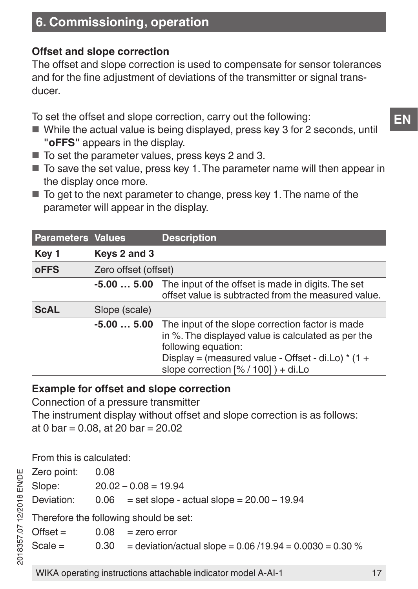## **Offset and slope correction**

The offset and slope correction is used to compensate for sensor tolerances and for the fine adjustment of deviations of the transmitter or signal transducer.

To set the offset and slope correction, carry out the following:

- While the actual value is being displayed, press key 3 for 2 seconds, until **"oFFS"** appears in the display.
- To set the parameter values, press keys 2 and 3.
- To save the set value, press key 1. The parameter name will then appear in the display once more.
- To get to the next parameter to change, press key 1. The name of the parameter will appear in the display.

| <b>Parameters Values</b> |                      | <b>Description</b>                                                                                                                                                                                                              |
|--------------------------|----------------------|---------------------------------------------------------------------------------------------------------------------------------------------------------------------------------------------------------------------------------|
| Key 1                    | Keys 2 and 3         |                                                                                                                                                                                                                                 |
| <b>oFFS</b>              | Zero offset (offset) |                                                                                                                                                                                                                                 |
|                          |                      | -5.00  5.00 The input of the offset is made in digits. The set<br>offset value is subtracted from the measured value.                                                                                                           |
| <b>ScAL</b>              | Slope (scale)        |                                                                                                                                                                                                                                 |
|                          | $-5.005.00$          | The input of the slope correction factor is made<br>in %. The displayed value is calculated as per the<br>following equation:<br>Display = (measured value - Offset - di.Lo) $*$ (1 +<br>slope correction $[% / 100]$ ) + di.Lo |

#### **Example for offset and slope correction**

Connection of a pressure transmitter The instrument display without offset and slope correction is as follows: at 0 bar =  $0.08$ , at 20 bar =  $20.02$ 

From this is calculated:

| Zero point:                            | 0.08 |                                                             |  |
|----------------------------------------|------|-------------------------------------------------------------|--|
| Slope:                                 |      | $20.02 - 0.08 = 19.94$                                      |  |
| Deviation:                             |      | $0.06$ = set slope - actual slope = $20.00 - 19.94$         |  |
| Therefore the following should be set: |      |                                                             |  |
| $Offset =$                             | 0.08 | $=$ zero error                                              |  |
| $Scale =$                              | 0.30 | = deviation/actual slope = $0.06 / 19.94 = 0.0030 = 0.30$ % |  |

**EN**

WIKA operating instructions attachable indicator model A-AI-1 17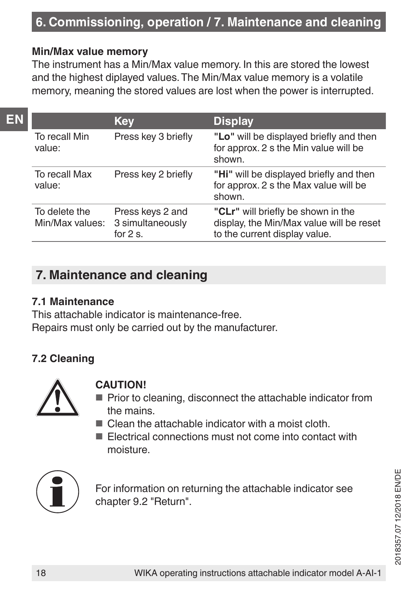#### **Min/Max value memory**

The instrument has a Min/Max value memory. In this are stored the lowest and the highest diplayed values. The Min/Max value memory is a volatile memory, meaning the stored values are lost when the power is interrupted.

| EN |                                  | Key                                                | <b>Display</b>                                                                                                  |
|----|----------------------------------|----------------------------------------------------|-----------------------------------------------------------------------------------------------------------------|
|    | To recall Min<br>value:          | Press key 3 briefly                                | "Lo" will be displayed briefly and then<br>for approx. 2 s the Min value will be<br>shown.                      |
|    | To recall Max<br>value:          | Press key 2 briefly                                | "Hi" will be displayed briefly and then<br>for approx. 2 s the Max value will be<br>shown.                      |
|    | To delete the<br>Min/Max values: | Press keys 2 and<br>3 simultaneously<br>for $2s$ . | "CLr" will briefly be shown in the<br>display, the Min/Max value will be reset<br>to the current display value. |

## **7. Maintenance and cleaning**

#### **7.1 Maintenance**

This attachable indicator is maintenance-free. Repairs must only be carried out by the manufacturer.

## **7.2 Cleaning**



#### **CAUTION!**

- Prior to cleaning, disconnect the attachable indicator from the mains.
- Clean the attachable indicator with a moist cloth
- Electrical connections must not come into contact with moisture.



For information on returning the attachable indicator see chapter 9.2 "Return".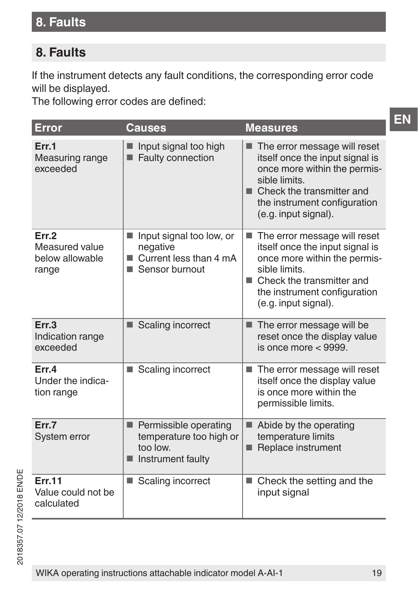# **8. Faults**

# **8. Faults**

If the instrument detects any fault conditions, the corresponding error code will be displayed.

The following error codes are defined:

| Error                                               | <b>Causes</b>                                                                           | <b>Measures</b>                                                                                                                                                                                         |
|-----------------------------------------------------|-----------------------------------------------------------------------------------------|---------------------------------------------------------------------------------------------------------------------------------------------------------------------------------------------------------|
| Err.1<br>Measuring range<br>hebeeded                | Input signal too high<br>Faulty connection<br>■                                         | The error message will reset<br>itself once the input signal is<br>once more within the permis-<br>sible limits.<br>■ Check the transmitter and<br>the instrument configuration<br>(e.g. input signal). |
| Err.2<br>Measured value<br>below allowable<br>range | Input signal too low, or<br>ш<br>negative<br>■ Current less than 4 mA<br>Sensor burnout | The error message will reset<br>itself once the input signal is<br>once more within the permis-<br>sible limits.<br>■ Check the transmitter and<br>the instrument configuration<br>(e.g. input signal). |
| Err.3<br>Indication range<br>exceeded               | Scaling incorrect                                                                       | The error message will be<br>reset once the display value<br>is once more $<$ 9999.                                                                                                                     |
| Err.4<br>Under the indica-<br>tion range            | Scaling incorrect<br><b>CONTRACTOR</b>                                                  | The error message will reset<br>itself once the display value<br>is once more within the<br>permissible limits.                                                                                         |
| Err.7<br>System error                               | Permissible operating<br>п.<br>temperature too high or<br>too low.<br>Instrument faulty | Abide by the operating<br>temperature limits<br>Replace instrument                                                                                                                                      |
| Err.11<br>Value could not be<br>calculated          | Scaling incorrect                                                                       | ■ Check the setting and the<br>input signal                                                                                                                                                             |

WIKA operating instructions attachable indicator model A-AI-1 19

**EN**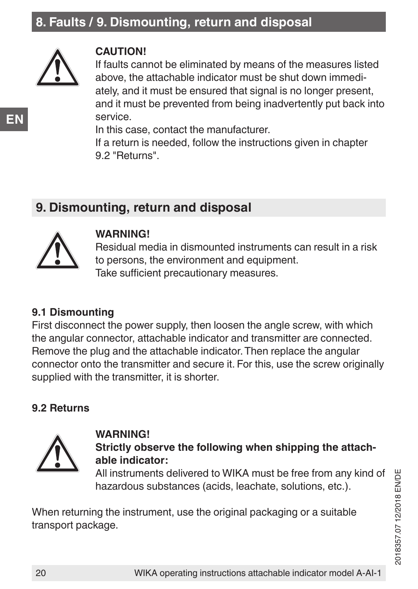# **8. Faults / 9. Dismounting, return and disposal**



## **CAUTION!**

If faults cannot be eliminated by means of the measures listed above, the attachable indicator must be shut down immediately, and it must be ensured that signal is no longer present. and it must be prevented from being inadvertently put back into service.

In this case, contact the manufacturer.

If a return is needed, follow the instructions given in chapter 9.2 "Returns".

# **9. Dismounting, return and disposal**



#### **WARNING!**

Residual media in dismounted instruments can result in a risk to persons, the environment and equipment. Take sufficient precautionary measures.

## **9.1 Dismounting**

First disconnect the power supply, then loosen the angle screw, with which the angular connector, attachable indicator and transmitter are connected. Remove the plug and the attachable indicator. Then replace the angular connector onto the transmitter and secure it. For this, use the screw originally supplied with the transmitter, it is shorter.

#### **9.2 Returns**



#### **WARNING! Strictly observe the following when shipping the attachable indicator:**

All instruments delivered to WIKA must be free from any kind of hazardous substances (acids, leachate, solutions, etc.).

When returning the instrument, use the original packaging or a suitable transport package.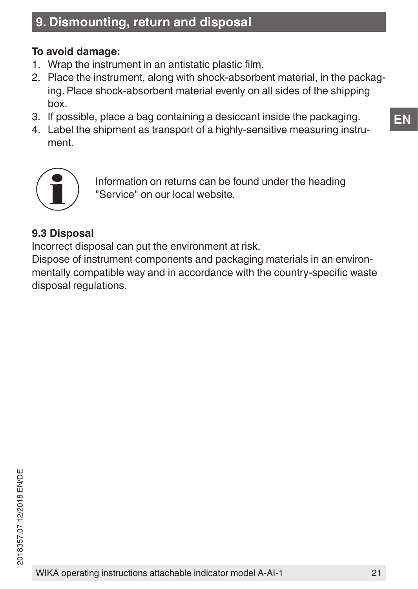# **9. Dismounting, return and disposal**

## **To avoid damage:**

- 1. Wrap the instrument in an antistatic plastic film.
- 2. Place the instrument, along with shock-absorbent material, in the packaging. Place shock-absorbent material evenly on all sides of the shipping box.
- 3. If possible, place a bag containing a desiccant inside the packaging.
- 4. Label the shipment as transport of a highly-sensitive measuring instrument.



Information on returns can be found under the heading "Service" on our local website.

#### **9.3 Disposal**

Incorrect disposal can put the environment at risk.

Dispose of instrument components and packaging materials in an environmentally compatible way and in accordance with the country-specific waste disposal regulations.

**EN**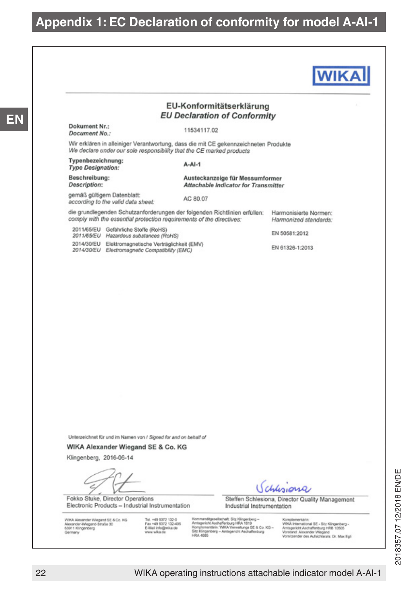# **Appendix 1: EC Declaration of conformity for model A-AI-1**

|                                                            |                                                                                                                                                              | EU-Konformitätserklärung                                                                                                                                                                    |                                                                                                                                                                                                                                       |  |
|------------------------------------------------------------|--------------------------------------------------------------------------------------------------------------------------------------------------------------|---------------------------------------------------------------------------------------------------------------------------------------------------------------------------------------------|---------------------------------------------------------------------------------------------------------------------------------------------------------------------------------------------------------------------------------------|--|
|                                                            |                                                                                                                                                              | <b>EU Declaration of Conformity</b>                                                                                                                                                         |                                                                                                                                                                                                                                       |  |
| Dokument Nr.:<br>Document No.:                             |                                                                                                                                                              | 11534117.02                                                                                                                                                                                 |                                                                                                                                                                                                                                       |  |
|                                                            | Wir erklären in alleiniger Verantwortung, dass die mit CE gekennzeichneten Produkte<br>We declare under our sole responsibility that the CE marked products  |                                                                                                                                                                                             |                                                                                                                                                                                                                                       |  |
| <b>Type Designation:</b>                                   | Typenbezeichnung:                                                                                                                                            | $A-AI-1$                                                                                                                                                                                    |                                                                                                                                                                                                                                       |  |
| Beschreibung:<br><b>Description:</b>                       |                                                                                                                                                              | Austeckanzeige für Messumformer<br>Attachable Indicator for Transmitter                                                                                                                     |                                                                                                                                                                                                                                       |  |
|                                                            | gemäß gültigem Datenblatt:<br>according to the valid data sheet:                                                                                             | AC 80.07                                                                                                                                                                                    |                                                                                                                                                                                                                                       |  |
|                                                            | die grundlegenden Schutzanforderungen der folgenden Richtlinien erfüllen:<br>comply with the essential protection requirements of the directives:            |                                                                                                                                                                                             | Harmonisierte Normen:<br>Harmonized standards:                                                                                                                                                                                        |  |
|                                                            | 2011/65/EU Gefährliche Stoffe (RoHS)<br>2011/65/EU Hazardous substances (RoHS)                                                                               |                                                                                                                                                                                             | EN 50581:2012                                                                                                                                                                                                                         |  |
|                                                            | 2014/30/EU Elektromagnetische Verträglichkeit (EMV)<br>2014/30/EU Electromagnetic Compatibility (EMC)                                                        |                                                                                                                                                                                             | EN 61326-1:2013                                                                                                                                                                                                                       |  |
|                                                            |                                                                                                                                                              |                                                                                                                                                                                             |                                                                                                                                                                                                                                       |  |
|                                                            |                                                                                                                                                              |                                                                                                                                                                                             |                                                                                                                                                                                                                                       |  |
|                                                            | Unterzeichnet für und im Namen von / Signed for and on behalf of                                                                                             |                                                                                                                                                                                             |                                                                                                                                                                                                                                       |  |
|                                                            | WIKA Alexander Wiegand SE & Co. KG                                                                                                                           |                                                                                                                                                                                             |                                                                                                                                                                                                                                       |  |
|                                                            | Klingenberg, 2016-06-14                                                                                                                                      |                                                                                                                                                                                             |                                                                                                                                                                                                                                       |  |
|                                                            |                                                                                                                                                              |                                                                                                                                                                                             |                                                                                                                                                                                                                                       |  |
|                                                            |                                                                                                                                                              |                                                                                                                                                                                             | chlosiona                                                                                                                                                                                                                             |  |
|                                                            | Electronic Products - Industrial Instrumentation                                                                                                             |                                                                                                                                                                                             | Industrial Instrumentation                                                                                                                                                                                                            |  |
| Alexander-Wegand-Straße 30<br>63911 Klingenberg<br>Germany | Fokko Stuke, Director Operations<br>Tel. +49 9372 132-0<br>WIKA Alexander Wiegand SE & Co. KG<br>Fax +49 9372 132-406<br>E-Mail info@wika.do<br>www.wikia.de | Kommandigesellschaft. Sitz Klingenberg -<br>Amtsgericht Aschaffenburg HRA 1819<br>Komplementärin: WIKA Verwaltungs SE & Co. KG -<br>Sitz Kingenberg - Amtsgericht Aschaffenburg<br>HRA 4685 | Steffen Schlesiona, Director Quality Management<br>Komplementarin<br>WIKA International SE - Sitz Klingerberg -<br>Arrogericht Aschaffenburg HRB 10505<br>Vorstand: Alexander Wegand<br><b>Montreager Sea Autoridates Dr. May Enk</b> |  |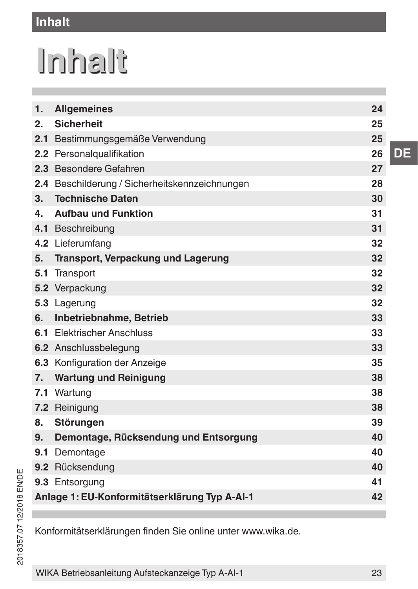# **Inhalt**

# **Inhalt**

| 1.  | <b>Allgemeines</b>                             | 24 |
|-----|------------------------------------------------|----|
| 2.  | <b>Sicherheit</b>                              | 25 |
|     | 2.1 Bestimmungsgemäße Verwendung               | 25 |
|     | 2.2 Personalgualifikation                      | 26 |
|     | 2.3 Besondere Gefahren                         | 27 |
|     | 2.4 Beschilderung / Sicherheitskennzeichnungen | 28 |
| 3.  | <b>Technische Daten</b>                        | 30 |
| 4.  | <b>Aufbau und Funktion</b>                     | 31 |
|     | 4.1 Beschreibung                               | 31 |
|     | 4.2 Lieferumfang                               | 32 |
| 5.  | Transport, Verpackung und Lagerung             | 32 |
| 5.1 | Transport                                      | 32 |
|     | 5.2 Verpackung                                 | 32 |
|     | 5.3 Lagerung                                   | 32 |
| 6.  | Inbetriebnahme, Betrieb                        | 33 |
|     | 6.1 Flektrischer Anschluss                     | 33 |
|     | 6.2 Anschlussbelegung                          | 33 |
|     | 6.3 Konfiguration der Anzeige                  | 35 |
| 7.  | <b>Wartung und Reinigung</b>                   | 38 |
|     | 7.1 Wartung                                    | 38 |
|     | 7.2 Reinigung                                  | 38 |
| 8.  | Störungen                                      | 39 |
| 9.  | Demontage, Rücksendung und Entsorgung          | 40 |
| 9.1 | Demontage                                      | 40 |
|     | 9.2 Rücksendung                                | 40 |
|     | 9.3 Entsorgung                                 | 41 |
|     | Anlage 1: EU-Konformitätserklärung Typ A-AI-1  | 42 |
|     |                                                |    |

Konformitätserklärungen finden Sie online unter www.wika.de.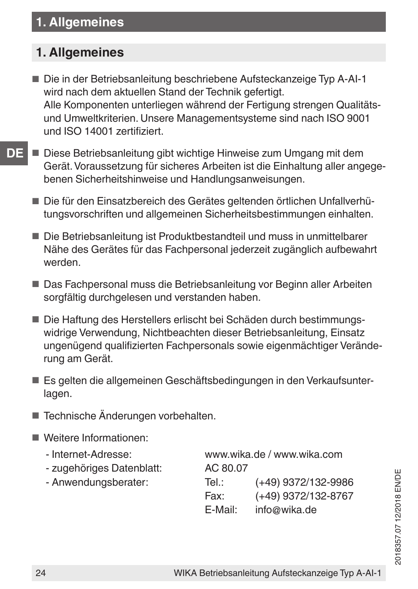# **1. Allgemeines**

# **1. Allgemeines**

■ Die in der Betriebsanleitung beschriebene Aufsteckanzeige Typ A-AI-1 wird nach dem aktuellen Stand der Technik gefertigt. Alle Komponenten unterliegen während der Fertigung strengen Qualitätsund Umweltkriterien. Unsere Managementsysteme sind nach ISO 9001 und ISO 14001 zertifiziert.

- **DE** ■ Diese Betriebsanleitung gibt wichtige Hinweise zum Umgang mit dem Gerät. Voraussetzung für sicheres Arbeiten ist die Einhaltung aller angegebenen Sicherheitshinweise und Handlungsanweisungen.
	- Die für den Einsatzbereich des Gerätes geltenden örtlichen Unfallverhütungsvorschriften und allgemeinen Sicherheitsbestimmungen einhalten.
	- Die Betriebsanleitung ist Produktbestandteil und muss in unmittelbarer Nähe des Gerätes für das Fachpersonal jederzeit zugänglich aufbewahrt werden.
	- Das Fachpersonal muss die Betriebsanleitung vor Beginn aller Arbeiten sorgfältig durchgelesen und verstanden haben.
	- Die Haftung des Herstellers erlischt bei Schäden durch bestimmungswidrige Verwendung, Nichtbeachten dieser Betriebsanleitung, Einsatz ungenügend qualifizierten Fachpersonals sowie eigenmächtiger Veränderung am Gerät.
	- Es gelten die allgemeinen Geschäftsbedingungen in den Verkaufsunterlagen.
	- Technische Änderungen vorbehalten.
	- Weitere Informationen:
		-
		- zugehöriges Datenblatt: AC 80.07
		-

- Internet-Adresse: www.wika.de / www.wika.com - Anwendungsberater: Tel.: (+49) 9372/132-9986 Fax: (+49) 9372/132-8767 E-Mail: info@wika.de

2018357.07 12/2018 EN/DE 2018357.07 12/2018 EN/DE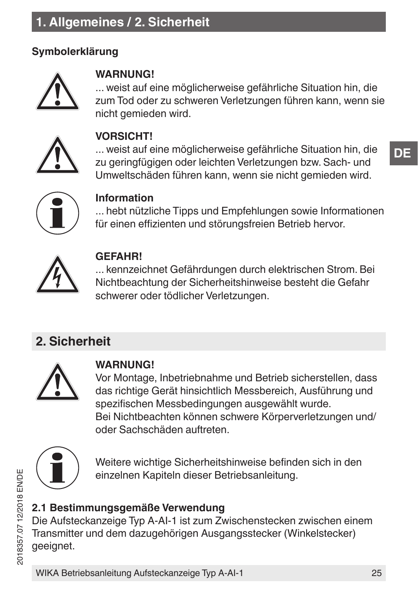## **Symbolerklärung**



## **WARNUNG!**

... weist auf eine möglicherweise gefährliche Situation hin, die zum Tod oder zu schweren Verletzungen führen kann, wenn sie nicht gemieden wird.



## **VORSICHT!**

... weist auf eine möglicherweise gefährliche Situation hin, die zu geringfügigen oder leichten Verletzungen bzw. Sach- und Umweltschäden führen kann, wenn sie nicht gemieden wird.



## **Information**

... hebt nützliche Tipps und Empfehlungen sowie Informationen für einen effizienten und störungsfreien Betrieb hervor.



#### **GEFAHR!**

... kennzeichnet Gefährdungen durch elektrischen Strom. Bei Nichtbeachtung der Sicherheitshinweise besteht die Gefahr schwerer oder tödlicher Verletzungen.

## **2. Sicherheit**



#### **WARNUNG!**

Vor Montage, Inbetriebnahme und Betrieb sicherstellen, dass das richtige Gerät hinsichtlich Messbereich, Ausführung und spezifischen Messbedingungen ausgewählt wurde. Bei Nichtbeachten können schwere Körperverletzungen und/ oder Sachschäden auftreten.



Weitere wichtige Sicherheitshinweise befinden sich in den einzelnen Kapiteln dieser Betriebsanleitung.

#### **2.1 Bestimmungsgemäße Verwendung**

Die Aufsteckanzeige Typ A-AI-1 ist zum Zwischenstecken zwischen einem Transmitter und dem dazugehörigen Ausgangsstecker (Winkelstecker) geeignet.

2018357.07 12/2018 EN/DE

2018357.0712/2018 EN/DE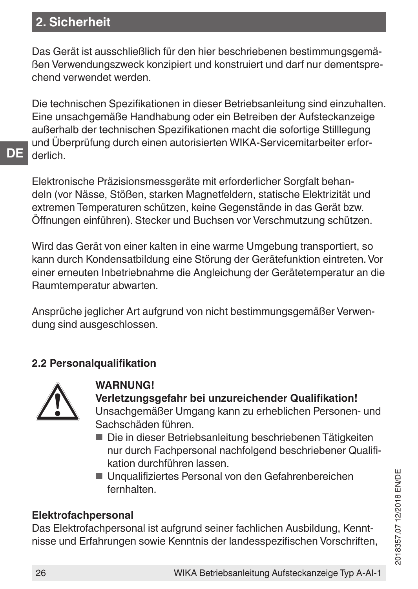# **2. Sicherheit**

**DE**

Das Gerät ist ausschließlich für den hier beschriebenen bestimmungsgemäßen Verwendungszweck konzipiert und konstruiert und darf nur dementsprechend verwendet werden.

Die technischen Spezifikationen in dieser Betriebsanleitung sind einzuhalten. Eine unsachgemäße Handhabung oder ein Betreiben der Aufsteckanzeige außerhalb der technischen Spezifikationen macht die sofortige Stilllegung und Überprüfung durch einen autorisierten WIKA-Servicemitarbeiter erforderlich.

Elektronische Präzisionsmessgeräte mit erforderlicher Sorgfalt behandeln (vor Nässe, Stößen, starken Magnetfeldern, statische Elektrizität und extremen Temperaturen schützen, keine Gegenstände in das Gerät bzw. Öffnungen einführen). Stecker und Buchsen vor Verschmutzung schützen.

Wird das Gerät von einer kalten in eine warme Umgebung transportiert, so kann durch Kondensatbildung eine Störung der Gerätefunktion eintreten. Vor einer erneuten Inbetriebnahme die Angleichung der Gerätetemperatur an die Raumtemperatur abwarten.

Ansprüche jeglicher Art aufgrund von nicht bestimmungsgemäßer Verwendung sind ausgeschlossen.

#### **2.2 Personalqualifikation**



#### **WARNUNG! Verletzungsgefahr bei unzureichender Qualifikation!** Unsachgemäßer Umgang kann zu erheblichen Personen- und Sachschäden führen.

- Die in dieser Betriebsanleitung beschriebenen Tätigkeiten nur durch Fachpersonal nachfolgend beschriebener Qualifikation durchführen lassen.
- Unqualifiziertes Personal von den Gefahrenbereichen fernhalten.

#### **Elektrofachpersonal**

Das Elektrofachpersonal ist aufgrund seiner fachlichen Ausbildung, Kenntnisse und Erfahrungen sowie Kenntnis der landesspezifischen Vorschriften,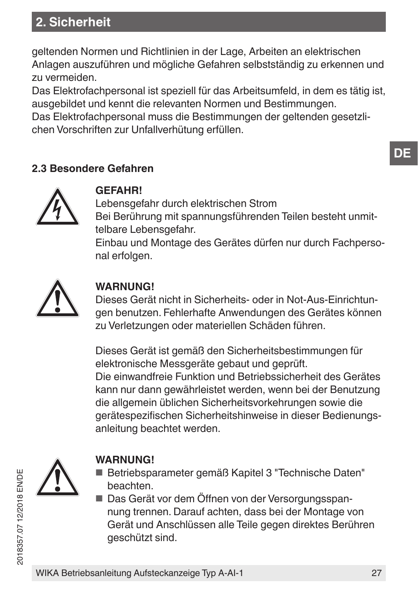# **2. Sicherheit**

geltenden Normen und Richtlinien in der Lage, Arbeiten an elektrischen Anlagen auszuführen und mögliche Gefahren selbstständig zu erkennen und zu vermeiden.

Das Elektrofachpersonal ist speziell für das Arbeitsumfeld, in dem es tätig ist, ausgebildet und kennt die relevanten Normen und Bestimmungen.

Das Elektrofachpersonal muss die Bestimmungen der geltenden gesetzlichen Vorschriften zur Unfallverhütung erfüllen.

#### **2.3 Besondere Gefahren**



#### **GEFAHR!**

Lebensgefahr durch elektrischen Strom Bei Berührung mit spannungsführenden Teilen besteht unmittelbare Lebensgefahr.

Einbau und Montage des Gerätes dürfen nur durch Fachpersonal erfolgen.



#### **WARNUNG!**

Dieses Gerät nicht in Sicherheits- oder in Not-Aus-Einrichtungen benutzen. Fehlerhafte Anwendungen des Gerätes können zu Verletzungen oder materiellen Schäden führen.

Dieses Gerät ist gemäß den Sicherheitsbestimmungen für elektronische Messgeräte gebaut und geprüft. Die einwandfreie Funktion und Betriebssicherheit des Gerätes kann nur dann gewährleistet werden, wenn bei der Benutzung die allgemein üblichen Sicherheitsvorkehrungen sowie die gerätespezifischen Sicherheitshinweise in dieser Bedienungsanleitung beachtet werden.



2018357.07 12/2018 EN/DE

2018357.0712/2018 EN/DE

#### **WARNUNG!**

- Betriebsparameter gemäß Kapitel 3 "Technische Daten" beachten.
- Das Gerät vor dem Öffnen von der Versorgungsspannung trennen. Darauf achten, dass bei der Montage von Gerät und Anschlüssen alle Teile gegen direktes Berühren geschützt sind.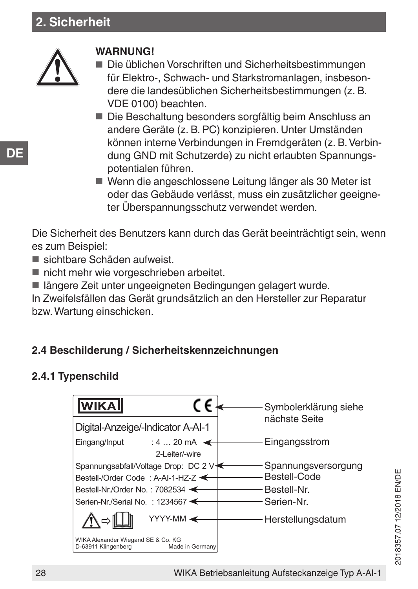# **2. Sicherheit**



## **WARNUNG!**

- Die üblichen Vorschriften und Sicherheitsbestimmungen für Elektro-, Schwach- und Starkstromanlagen, insbesondere die landesüblichen Sicherheitsbestimmungen (z. B. VDE 0100) beachten.
- Die Beschaltung besonders sorgfältig beim Anschluss an andere Geräte (z. B. PC) konzipieren. Unter Umständen können interne Verbindungen in Fremdgeräten (z. B. Verbindung GND mit Schutzerde) zu nicht erlaubten Spannungspotentialen führen.
- Wenn die angeschlossene Leitung länger als 30 Meter ist oder das Gebäude verlässt, muss ein zusätzlicher geeigneter Überspannungsschutz verwendet werden.

Die Sicherheit des Benutzers kann durch das Gerät beeinträchtigt sein, wenn es zum Beispiel:

- sichtbare Schäden aufweist.
- nicht mehr wie vorgeschrieben arbeitet.
- längere Zeit unter ungeeigneten Bedingungen gelagert wurde.

In Zweifelsfällen das Gerät grundsätzlich an den Hersteller zur Reparatur bzw. Wartung einschicken.

#### **2.4 Beschilderung / Sicherheitskennzeichnungen**

## **2.4.1 Typenschild**



**DE**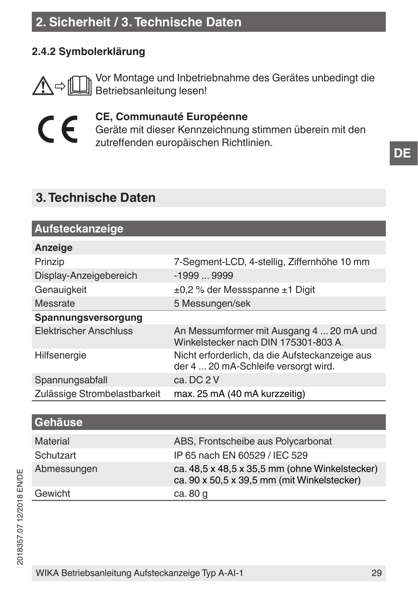## **2.4.2 Symbolerklärung**



Vor Montage und Inbetriebnahme des Gerätes unbedingt die Betriebsanleitung lesen!



# **CE, Communauté Européenne**

Geräte mit dieser Kennzeichnung stimmen überein mit den zutreffenden europäischen Richtlinien.

# **3. Technische Daten**

| Aufsteckanzeige              |                                                                                        |
|------------------------------|----------------------------------------------------------------------------------------|
| Anzeige                      |                                                                                        |
| Prinzip                      | 7-Segment-LCD, 4-stellig, Ziffernhöhe 10 mm                                            |
| Display-Anzeigebereich       | $-19999999$                                                                            |
| Genauigkeit                  | $\pm$ 0,2 % der Messspanne $\pm$ 1 Digit                                               |
| Messrate                     | 5 Messungen/sek                                                                        |
| Spannungsversorgung          |                                                                                        |
| Elektrischer Anschluss       | An Messumformer mit Ausgang 4  20 mA und<br>Winkelstecker nach DIN 175301-803 A.       |
| Hilfsenergie                 | Nicht erforderlich, da die Aufsteckanzeige aus<br>der 4  20 mA-Schleife versorgt wird. |
| Spannungsabfall              | ca. DC 2 V                                                                             |
| Zulässige Strombelastbarkeit | max. 25 mA (40 mA kurzzeitig)                                                          |

| l Gehäuse i     |                                                                                               |
|-----------------|-----------------------------------------------------------------------------------------------|
| <b>Material</b> | ABS, Frontscheibe aus Polycarbonat                                                            |
| Schutzart       | IP 65 nach EN 60529 / IEC 529                                                                 |
| Abmessungen     | ca. 48,5 x 48,5 x 35,5 mm (ohne Winkelstecker)<br>ca. 90 x 50,5 x 39,5 mm (mit Winkelstecker) |
| Gewicht         | ca. 80 g                                                                                      |

WIKA Betriebsanleitung Aufsteckanzeige Typ A-AI-1 29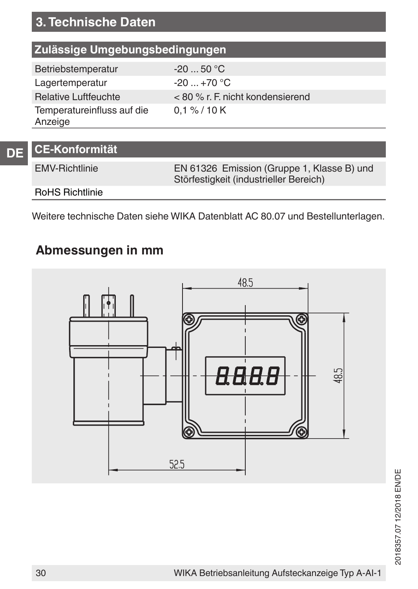# **3. Technische Daten**

## **Zulässige Umgebungsbedingungen**

| Betriebstemperatur                    | $-2050 °C$                       |
|---------------------------------------|----------------------------------|
| Lagertemperatur                       | $-20+70 °C$                      |
| <b>Relative Luftfeuchte</b>           | < 80 % r. F. nicht kondensierend |
| Temperatureinfluss auf die<br>Anzeige | $0.1\% / 10K$                    |

## **DE**

## **CE-Konformität**

| EMV-Richtlinie |
|----------------|
|----------------|

EN 61326 Emission (Gruppe 1, Klasse B) und Störfestigkeit (industrieller Bereich)

RoHS Richtlinie

Weitere technische Daten siehe WIKA Datenblatt AC 80.07 und Bestellunterlagen.

## **Abmessungen in mm**

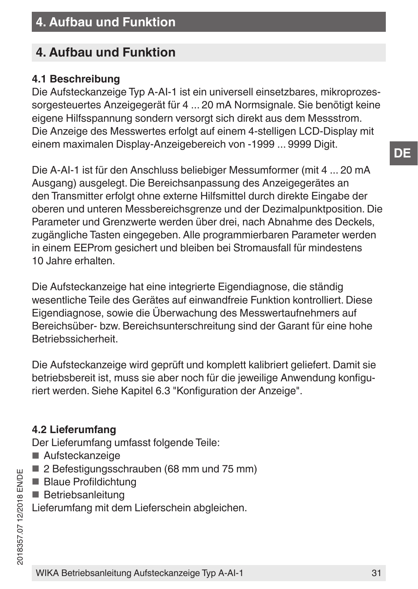# **4. Aufbau und Funktion**

## **4.1 Beschreibung**

Die Aufsteckanzeige Typ A-AI-1 ist ein universell einsetzbares, mikroprozessorgesteuertes Anzeigegerät für 4 ... 20 mA Normsignale. Sie benötigt keine eigene Hilfsspannung sondern versorgt sich direkt aus dem Messstrom. Die Anzeige des Messwertes erfolgt auf einem 4-stelligen LCD-Display mit einem maximalen Display-Anzeigebereich von -1999 ... 9999 Digit.

Die A-AI-1 ist für den Anschluss beliebiger Messumformer (mit 4 ... 20 mA Ausgang) ausgelegt. Die Bereichsanpassung des Anzeigegerätes an den Transmitter erfolgt ohne externe Hilfsmittel durch direkte Eingabe der oberen und unteren Messbereichsgrenze und der Dezimalpunktposition. Die Parameter und Grenzwerte werden über drei, nach Abnahme des Deckels, zugängliche Tasten eingegeben. Alle programmierbaren Parameter werden in einem EEProm gesichert und bleiben bei Stromausfall für mindestens 10 Jahre erhalten.

Die Aufsteckanzeige hat eine integrierte Eigendiagnose, die ständig wesentliche Teile des Gerätes auf einwandfreie Funktion kontrolliert. Diese Eigendiagnose, sowie die Überwachung des Messwertaufnehmers auf Bereichsüber- bzw. Bereichsunterschreitung sind der Garant für eine hohe Betriebssicherheit.

Die Aufsteckanzeige wird geprüft und komplett kalibriert geliefert. Damit sie betriebsbereit ist, muss sie aber noch für die jeweilige Anwendung konfiguriert werden. Siehe Kapitel 6.3 "Konfiguration der Anzeige".

## **4.2 Lieferumfang**

Der Lieferumfang umfasst folgende Teile:

- Aufsteckanzeige
- 2 Befestigungsschrauben (68 mm und 75 mm)
- Blaue Profildichtung
- Betriebsanleitung

Lieferumfang mit dem Lieferschein abgleichen.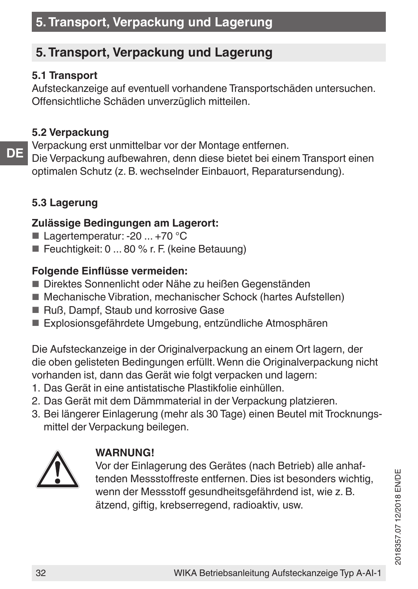# **5. Transport, Verpackung und Lagerung**

# **5. Transport, Verpackung und Lagerung**

#### **5.1 Transport**

Aufsteckanzeige auf eventuell vorhandene Transportschäden untersuchen. Offensichtliche Schäden unverzüglich mitteilen.

#### **5.2 Verpackung**

**DE**

Verpackung erst unmittelbar vor der Montage entfernen.

Die Verpackung aufbewahren, denn diese bietet bei einem Transport einen optimalen Schutz (z. B. wechselnder Einbauort, Reparatursendung).

#### **5.3 Lagerung**

#### **Zulässige Bedingungen am Lagerort:**

- Lagertemperatur: -20 ... +70 °C
- Feuchtigkeit: 0 ... 80 % r. F. (keine Betauung)

#### **Folgende Einflüsse vermeiden:**

- Direktes Sonnenlicht oder Nähe zu heißen Gegenständen
- Mechanische Vibration, mechanischer Schock (hartes Aufstellen)
- Ruß, Dampf, Staub und korrosive Gase
- Explosionsgefährdete Umgebung, entzündliche Atmosphären

Die Aufsteckanzeige in der Originalverpackung an einem Ort lagern, der die oben gelisteten Bedingungen erfüllt. Wenn die Originalverpackung nicht vorhanden ist, dann das Gerät wie folgt verpacken und lagern:

- 1. Das Gerät in eine antistatische Plastikfolie einhüllen.
- 2. Das Gerät mit dem Dämmmaterial in der Verpackung platzieren.
- 3. Bei längerer Einlagerung (mehr als 30 Tage) einen Beutel mit Trocknungsmittel der Verpackung beilegen.



#### **WARNUNG!**

Vor der Einlagerung des Gerätes (nach Betrieb) alle anhaftenden Messstoffreste entfernen. Dies ist besonders wichtig, wenn der Messstoff gesundheitsgefährdend ist, wie z. B. ätzend, giftig, krebserregend, radioaktiv, usw.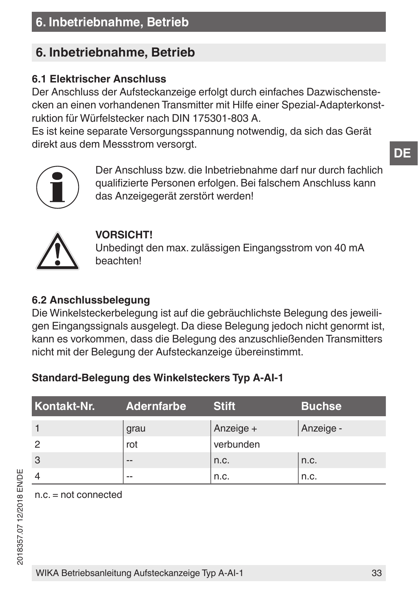# **6. Inbetriebnahme, Betrieb**

#### **6.1 Elektrischer Anschluss**

Der Anschluss der Aufsteckanzeige erfolgt durch einfaches Dazwischenstecken an einen vorhandenen Transmitter mit Hilfe einer Spezial-Adapterkonstruktion für Würfelstecker nach DIN 175301-803 A.

Es ist keine separate Versorgungsspannung notwendig, da sich das Gerät direkt aus dem Messstrom versorgt.



Der Anschluss bzw. die Inbetriebnahme darf nur durch fachlich qualifizierte Personen erfolgen. Bei falschem Anschluss kann das Anzeigegerät zerstört werden!



#### **VORSICHT!**

Unbedingt den max. zulässigen Eingangsstrom von 40 mA beachten!

#### **6.2 Anschlussbelegung**

Die Winkelsteckerbelegung ist auf die gebräuchlichste Belegung des jeweiligen Eingangssignals ausgelegt. Da diese Belegung jedoch nicht genormt ist, kann es vorkommen, dass die Belegung des anzuschließenden Transmitters nicht mit der Belegung der Aufsteckanzeige übereinstimmt.

#### **Standard-Belegung des Winkelsteckers Typ A-AI-1**

| Kontakt-Nr. | Adernfarbe | <b>Stift</b> | <b>Buchse</b> |
|-------------|------------|--------------|---------------|
|             | grau       | Anzeige +    | Anzeige -     |
| 2           | rot        | verbunden    |               |
| 3           | $-$        | n.c.         | n.c.          |
|             | $- -$      | n.c.         | n.c.          |

#### n.c. = not connected

**DE**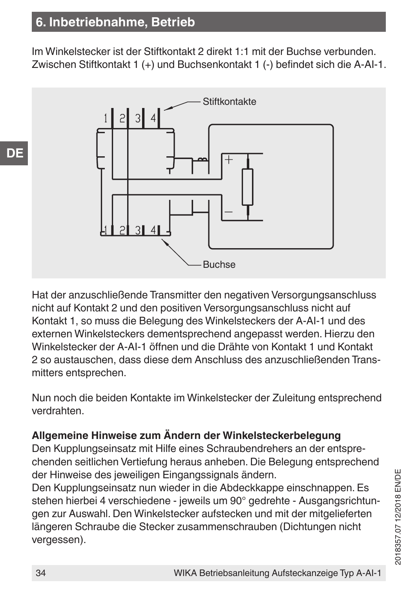Im Winkelstecker ist der Stiftkontakt 2 direkt 1:1 mit der Buchse verbunden. Zwischen Stiftkontakt 1 (+) und Buchsenkontakt 1 (-) befindet sich die A-AI-1.





Hat der anzuschließende Transmitter den negativen Versorgungsanschluss nicht auf Kontakt 2 und den positiven Versorgungsanschluss nicht auf Kontakt 1, so muss die Belegung des Winkelsteckers der A-AI-1 und des externen Winkelsteckers dementsprechend angepasst werden. Hierzu den Winkelstecker der A-AI-1 öffnen und die Drähte von Kontakt 1 und Kontakt 2 so austauschen, dass diese dem Anschluss des anzuschließenden Transmitters entsprechen.

Nun noch die beiden Kontakte im Winkelstecker der Zuleitung entsprechend verdrahten.

## **Allgemeine Hinweise zum Ändern der Winkelsteckerbelegung**

Den Kupplungseinsatz mit Hilfe eines Schraubendrehers an der entsprechenden seitlichen Vertiefung heraus anheben. Die Belegung entsprechend der Hinweise des jeweiligen Eingangssignals ändern.

Den Kupplungseinsatz nun wieder in die Abdeckkappe einschnappen. Es stehen hierbei 4 verschiedene - jeweils um 90° gedrehte - Ausgangsrichtungen zur Auswahl. Den Winkelstecker aufstecken und mit der mitgelieferten längeren Schraube die Stecker zusammenschrauben (Dichtungen nicht vergessen).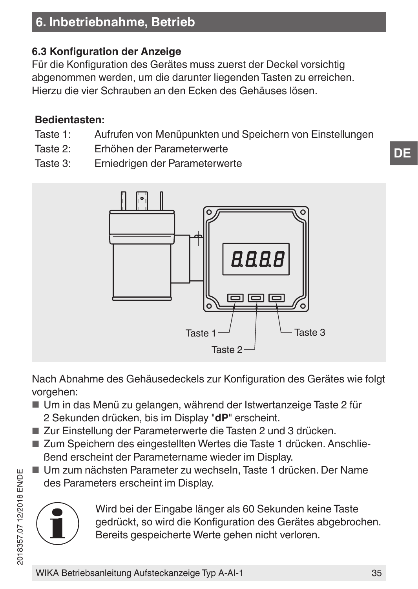# **6. Inbetriebnahme, Betrieb**

## **6.3 Konfiguration der Anzeige**

Für die Konfiguration des Gerätes muss zuerst der Deckel vorsichtig abgenommen werden, um die darunter liegenden Tasten zu erreichen. Hierzu die vier Schrauben an den Ecken des Gehäuses lösen.

#### **Bedientasten:**

- Taste 1: Aufrufen von Menüpunkten und Speichern von Einstellungen
- Taste 2: Erhöhen der Parameterwerte
- Taste 3: Erniedrigen der Parameterwerte



Nach Abnahme des Gehäusedeckels zur Konfiguration des Gerätes wie folgt vorgehen:

- Um in das Menü zu gelangen, während der Istwertanzeige Taste 2 für 2 Sekunden drücken, bis im Display "**dP**" erscheint.
- Zur Einstellung der Parameterwerte die Tasten 2 und 3 drücken.
- Zum Speichern des eingestellten Wertes die Taste 1 drücken. Anschließend erscheint der Parametername wieder im Display.
- Um zum nächsten Parameter zu wechseln. Taste 1 drücken. Der Name des Parameters erscheint im Display.



Wird bei der Eingabe länger als 60 Sekunden keine Taste gedrückt, so wird die Konfiguration des Gerätes abgebrochen. Bereits gespeicherte Werte gehen nicht verloren.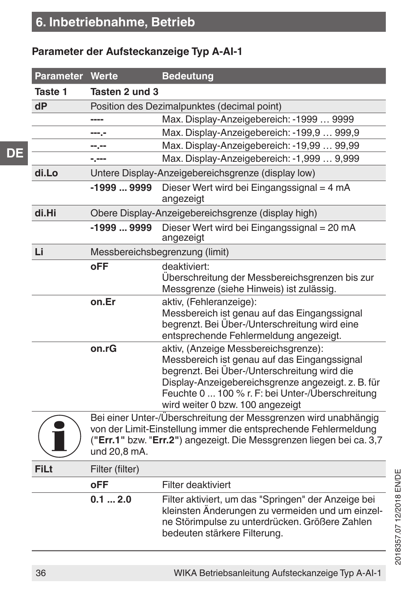## **Parameter der Aufsteckanzeige Typ A-AI-1**

| <b>Parameter Werte</b> |                                                                                                                                                                                                                            | <b>Bedeutung</b>                                                                                                                                                                                                                                                                   |  |
|------------------------|----------------------------------------------------------------------------------------------------------------------------------------------------------------------------------------------------------------------------|------------------------------------------------------------------------------------------------------------------------------------------------------------------------------------------------------------------------------------------------------------------------------------|--|
| Taste 1                | Tasten 2 und 3                                                                                                                                                                                                             |                                                                                                                                                                                                                                                                                    |  |
| dP                     | Position des Dezimalpunktes (decimal point)                                                                                                                                                                                |                                                                                                                                                                                                                                                                                    |  |
|                        | ----                                                                                                                                                                                                                       | Max. Display-Anzeigebereich: -1999  9999                                                                                                                                                                                                                                           |  |
|                        | ---.-                                                                                                                                                                                                                      | Max. Display-Anzeigebereich: -199,9  999,9                                                                                                                                                                                                                                         |  |
|                        | --.--                                                                                                                                                                                                                      | Max. Display-Anzeigebereich: -19,99  99,99                                                                                                                                                                                                                                         |  |
|                        | -.---                                                                                                                                                                                                                      | Max. Display-Anzeigebereich: -1,999  9,999                                                                                                                                                                                                                                         |  |
| di.Lo                  |                                                                                                                                                                                                                            | Untere Display-Anzeigebereichsgrenze (display low)                                                                                                                                                                                                                                 |  |
|                        | $-19999999$                                                                                                                                                                                                                | Dieser Wert wird bei Eingangssignal = 4 mA<br>angezeigt                                                                                                                                                                                                                            |  |
| di.Hi                  |                                                                                                                                                                                                                            | Obere Display-Anzeigebereichsgrenze (display high)                                                                                                                                                                                                                                 |  |
|                        | $-19999999$                                                                                                                                                                                                                | Dieser Wert wird bei Eingangssignal = 20 mA<br>angezeigt                                                                                                                                                                                                                           |  |
| Li                     |                                                                                                                                                                                                                            | Messbereichsbegrenzung (limit)                                                                                                                                                                                                                                                     |  |
|                        | oFF                                                                                                                                                                                                                        | deaktiviert:<br>Überschreitung der Messbereichsgrenzen bis zur<br>Messgrenze (siehe Hinweis) ist zulässig.                                                                                                                                                                         |  |
|                        | on.Er                                                                                                                                                                                                                      | aktiv, (Fehleranzeige):<br>Messbereich ist genau auf das Eingangssignal<br>begrenzt. Bei Über-/Unterschreitung wird eine<br>entsprechende Fehlermeldung angezeigt.                                                                                                                 |  |
|                        | on.rG                                                                                                                                                                                                                      | aktiv, (Anzeige Messbereichsgrenze):<br>Messbereich ist genau auf das Eingangssignal<br>begrenzt. Bei Über-/Unterschreitung wird die<br>Display-Anzeigebereichsgrenze angezeigt. z. B. für<br>Feuchte 0  100 % r. F: bei Unter-/Überschreitung<br>wird weiter 0 bzw. 100 angezeigt |  |
|                        | Bei einer Unter-/Überschreitung der Messgrenzen wird unabhängig<br>von der Limit-Einstellung immer die entsprechende Fehlermeldung<br>("Err.1" bzw. "Err.2") angezeigt. Die Messgrenzen liegen bei ca. 3.7<br>und 20,8 mA. |                                                                                                                                                                                                                                                                                    |  |
| <b>FiLt</b>            | Filter (filter)                                                                                                                                                                                                            |                                                                                                                                                                                                                                                                                    |  |
|                        | oFF                                                                                                                                                                                                                        | Filter deaktiviert                                                                                                                                                                                                                                                                 |  |
|                        | 0.12.0                                                                                                                                                                                                                     | Filter aktiviert, um das "Springen" der Anzeige bei<br>kleinsten Änderungen zu vermeiden und um einzel-<br>ne Störimpulse zu unterdrücken. Größere Zahlen<br>bedeuten stärkere Filterung.                                                                                          |  |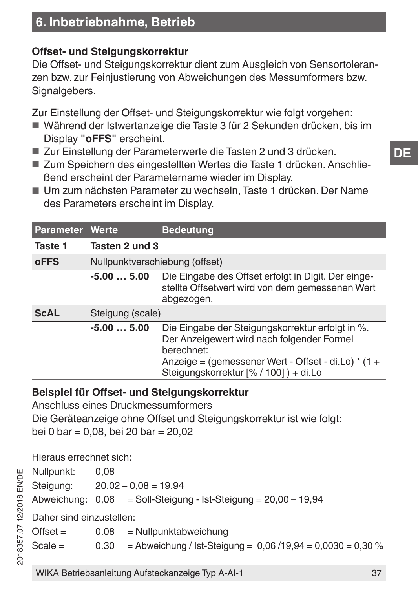## **Offset- und Steigungskorrektur**

Die Offset- und Steigungskorrektur dient zum Ausgleich von Sensortoleranzen bzw. zur Feinjustierung von Abweichungen des Messumformers bzw. Signalgebers.

Zur Einstellung der Offset- und Steigungskorrektur wie folgt vorgehen:

- Während der Istwertanzeige die Taste 3 für 2 Sekunden drücken, bis im Display **"oFFS"** erscheint.
- Zur Einstellung der Parameterwerte die Tasten 2 und 3 drücken.
- Zum Speichern des eingestellten Wertes die Taste 1 drücken. Anschließend erscheint der Parametername wieder im Display.
- Um zum nächsten Parameter zu wechseln. Taste 1 drücken. Der Name des Parameters erscheint im Display.

| <b>Parameter</b> | Werte                          | <b>Bedeutung</b>                                                                                                                                                                                               |  |
|------------------|--------------------------------|----------------------------------------------------------------------------------------------------------------------------------------------------------------------------------------------------------------|--|
| Taste 1          | Tasten 2 und 3                 |                                                                                                                                                                                                                |  |
| <b>oFFS</b>      | Nullpunktverschiebung (offset) |                                                                                                                                                                                                                |  |
|                  | $-5.005.00$                    | Die Eingabe des Offset erfolgt in Digit. Der einge-<br>stellte Offsetwert wird von dem gemessenen Wert<br>abgezogen.                                                                                           |  |
| <b>ScAL</b>      | Steigung (scale)               |                                                                                                                                                                                                                |  |
|                  | $-5.005.00$                    | Die Eingabe der Steigungskorrektur erfolgt in %.<br>Der Anzeigewert wird nach folgender Formel<br>berechnet:<br>Anzeige = (gemessener Wert - Offset - di.Lo) $*$ (1 +<br>Steigungskorrektur [% / 100]) + di.Lo |  |

## **Beispiel für Offset- und Steigungskorrektur**

Anschluss eines Druckmessumformers Die Geräteanzeige ohne Offset und Steigungskorrektur ist wie folgt: bei 0 bar = 0,08, bei 20 bar = 20,02

Hieraus errechnet sich:

| Nullpunkt:               | 0.08 |                                                                     |
|--------------------------|------|---------------------------------------------------------------------|
| Steigung:                |      | $20.02 - 0.08 = 19.94$                                              |
|                          |      | Abweichung: $0.06$ = Soll-Steigung - Ist-Steigung = $20.00 - 19.94$ |
| Daher sind einzustellen: |      |                                                                     |
| $Offset =$               | 0.08 | = Nullpunktabweichung                                               |
|                          |      |                                                                     |

WIKA Betriebsanleitung Aufsteckanzeige Typ A-AI-1 37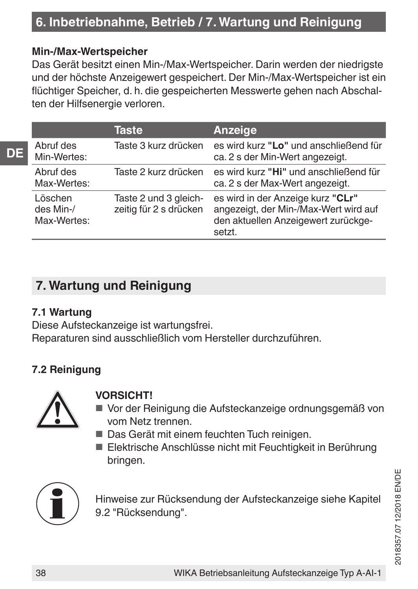# **6. Inbetriebnahme, Betrieb / 7. Wartung und Reinigung**

#### **Min-/Max-Wertspeicher**

Das Gerät besitzt einen Min-/Max-Wertspeicher. Darin werden der niedrigste und der höchste Anzeigewert gespeichert. Der Min-/Max-Wertspeicher ist ein flüchtiger Speicher, d. h. die gespeicherten Messwerte gehen nach Abschalten der Hilfsenergie verloren.

|    |                                     | <b>Taste</b>                                    | Anzeige                                                                                                                     |
|----|-------------------------------------|-------------------------------------------------|-----------------------------------------------------------------------------------------------------------------------------|
| DE | Abruf des<br>Min-Wertes:            | Taste 3 kurz drücken                            | es wird kurz "Lo" und anschließend für<br>ca. 2 s der Min-Wert angezeigt.                                                   |
|    | Abruf des<br>Max-Wertes:            | Taste 2 kurz drücken                            | es wird kurz "Hi" und anschließend für<br>ca. 2 s der Max-Wert angezeigt.                                                   |
|    | Löschen<br>des Min-/<br>Max-Wertes: | Taste 2 und 3 gleich-<br>zeitig für 2 s drücken | es wird in der Anzeige kurz "CLr"<br>angezeigt, der Min-/Max-Wert wird auf<br>den aktuellen Anzeigewert zurückge-<br>setzt. |

## **7. Wartung und Reinigung**

#### **7.1 Wartung**

Diese Aufsteckanzeige ist wartungsfrei. Reparaturen sind ausschließlich vom Hersteller durchzuführen.

## **7.2 Reinigung**



#### **VORSICHT!**

- Vor der Reinigung die Aufsteckanzeige ordnungsgemäß von vom Netz trennen.
- Das Gerät mit einem feuchten Tuch reinigen.
- Elektrische Anschlüsse nicht mit Feuchtigkeit in Berührung bringen.



Hinweise zur Rücksendung der Aufsteckanzeige siehe Kapitel 9.2 "Rücksendung".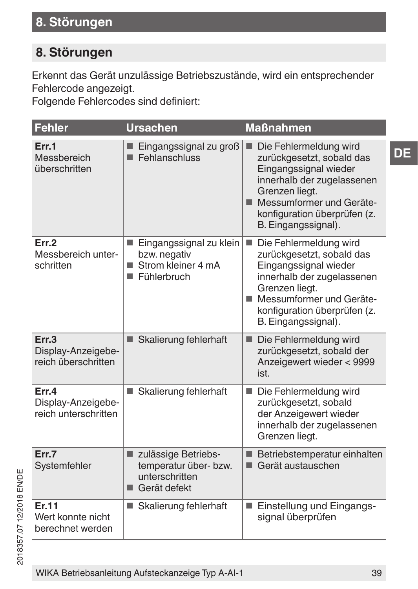# **8. Störungen**

Erkennt das Gerät unzulässige Betriebszustände, wird ein entsprechender Fehlercode angezeigt.

Folgende Fehlercodes sind definiert:

| <b>Fehler</b>                                       | <b>Ursachen</b>                                                                | <b>Maßnahmen</b>                                                                                                                                                                                                     |
|-----------------------------------------------------|--------------------------------------------------------------------------------|----------------------------------------------------------------------------------------------------------------------------------------------------------------------------------------------------------------------|
| Err.1<br>Messbereich<br>überschritten               | Eingangssignal zu groß<br>Fehlanschluss<br>■                                   | Die Fehlermeldung wird<br>п<br>zurückgesetzt, sobald das<br>Eingangssignal wieder<br>innerhalb der zugelassenen<br>Grenzen liegt.<br>Messumformer und Geräte-<br>konfiguration überprüfen (z.<br>B. Eingangssignal). |
| Err.2<br>Messbereich unter-<br>schritten            | Eingangssignal zu klein<br>bzw. negativ<br>Strom kleiner 4 mA<br>Fühlerbruch   | Die Fehlermeldung wird<br>zurückgesetzt, sobald das<br>Eingangssignal wieder<br>innerhalb der zugelassenen<br>Grenzen liegt.<br>Messumformer und Geräte-<br>konfiguration überprüfen (z.<br>B. Eingangssignal).      |
| Err.3<br>Display-Anzeigebe-<br>reich überschritten  | Skalierung fehlerhaft                                                          | Die Fehlermeldung wird<br>■<br>zurückgesetzt, sobald der<br>Anzeigewert wieder < 9999<br>ist.                                                                                                                        |
| Err.4<br>Display-Anzeigebe-<br>reich unterschritten | Skalierung fehlerhaft                                                          | Die Fehlermeldung wird<br>П<br>zurückgesetzt, sobald<br>der Anzeigewert wieder<br>innerhalb der zugelassenen<br>Grenzen liegt.                                                                                       |
| Err.7<br>Systemfehler                               | zulässige Betriebs-<br>temperatur über- bzw.<br>unterschritten<br>Gerät defekt | Betriebstemperatur einhalten<br>■<br>■ Gerät austauschen                                                                                                                                                             |
| Er.11<br>Wert konnte nicht<br>berechnet werden      | ■ Skalierung fehlerhaft                                                        | ■ Einstellung und Eingangs-<br>signal überprüfen                                                                                                                                                                     |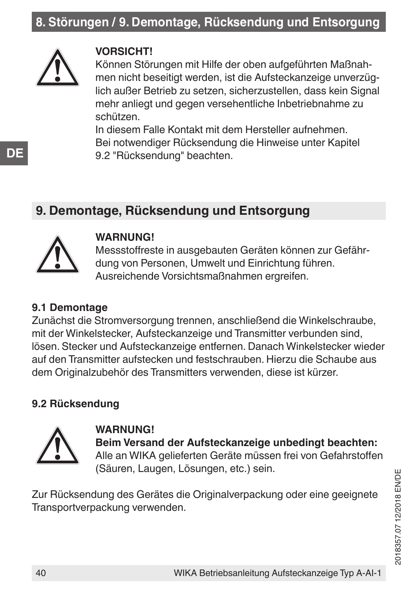# **8. Störungen / 9. Demontage, Rücksendung und Entsorgung**



**DE**

#### **VORSICHT!**

Können Störungen mit Hilfe der oben aufgeführten Maßnahmen nicht beseitigt werden, ist die Aufsteckanzeige unverzüglich außer Betrieb zu setzen, sicherzustellen, dass kein Signal mehr anliegt und gegen versehentliche Inbetriebnahme zu schützen.

In diesem Falle Kontakt mit dem Hersteller aufnehmen. Bei notwendiger Rücksendung die Hinweise unter Kapitel 9.2 "Rücksendung" beachten.

## **9. Demontage, Rücksendung und Entsorgung**



#### **WARNUNG!**

Messstoffreste in ausgebauten Geräten können zur Gefährdung von Personen, Umwelt und Einrichtung führen. Ausreichende Vorsichtsmaßnahmen ergreifen.

#### **9.1 Demontage**

Zunächst die Stromversorgung trennen, anschließend die Winkelschraube, mit der Winkelstecker, Aufsteckanzeige und Transmitter verbunden sind, lösen. Stecker und Aufsteckanzeige entfernen. Danach Winkelstecker wieder auf den Transmitter aufstecken und festschrauben. Hierzu die Schaube aus dem Originalzubehör des Transmitters verwenden, diese ist kürzer.

#### **9.2 Rücksendung**



**WARNUNG! Beim Versand der Aufsteckanzeige unbedingt beachten:** Alle an WIKA gelieferten Geräte müssen frei von Gefahrstoffen (Säuren, Laugen, Lösungen, etc.) sein.

Zur Rücksendung des Gerätes die Originalverpackung oder eine geeignete Transportverpackung verwenden.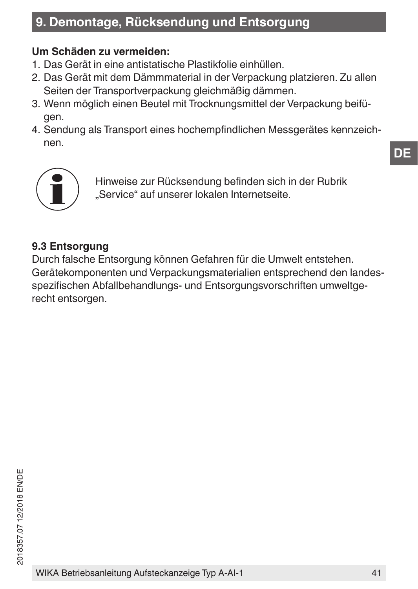# **9. Demontage, Rücksendung und Entsorgung**

#### **Um Schäden zu vermeiden:**

- 1. Das Gerät in eine antistatische Plastikfolie einhüllen.
- 2. Das Gerät mit dem Dämmmaterial in der Verpackung platzieren. Zu allen Seiten der Transportverpackung gleichmäßig dämmen.
- 3. Wenn möglich einen Beutel mit Trocknungsmittel der Verpackung beifügen.
- 4. Sendung als Transport eines hochempfindlichen Messgerätes kennzeichnen.



Hinweise zur Rücksendung befinden sich in der Rubrik "Service" auf unserer lokalen Internetseite.

#### **9.3 Entsorgung**

Durch falsche Entsorgung können Gefahren für die Umwelt entstehen. Gerätekomponenten und Verpackungsmaterialien entsprechend den landesspezifischen Abfallbehandlungs- und Entsorgungsvorschriften umweltgerecht entsorgen.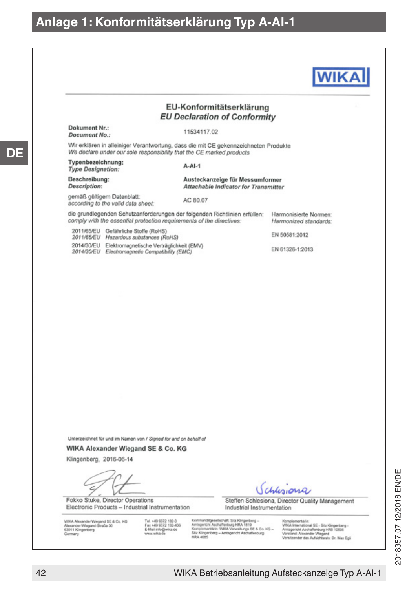|                                                                                                                                                   |                                                                                                       | EU-Konformitätserklärung<br><b>EU Declaration of Conformity</b>                                                                                             |                                                |
|---------------------------------------------------------------------------------------------------------------------------------------------------|-------------------------------------------------------------------------------------------------------|-------------------------------------------------------------------------------------------------------------------------------------------------------------|------------------------------------------------|
| Dokument Nr.:<br><b>Document No.:</b>                                                                                                             |                                                                                                       | 11534117.02                                                                                                                                                 |                                                |
|                                                                                                                                                   |                                                                                                       | Wir erklären in alleiniger Verantwortung, dass die mit CE gekennzeichneten Produkte<br>We declare under our sole responsibility that the CE marked products |                                                |
| Typenbezeichnung:<br><b>Type Designation:</b>                                                                                                     |                                                                                                       | $A - AI - 1$                                                                                                                                                |                                                |
| Beschreibung:<br><b>Description:</b>                                                                                                              |                                                                                                       | Austeckanzeige für Messumformer<br>Attachable Indicator for Transmitter                                                                                     |                                                |
|                                                                                                                                                   | gemäß gültigem Datenblatt:<br>according to the valid data sheet:                                      | AC 80.07                                                                                                                                                    |                                                |
| die grundlegenden Schutzanforderungen der folgenden Richtlinien erfüllen:<br>comply with the essential protection requirements of the directives: |                                                                                                       |                                                                                                                                                             | Harmonisierte Normen:<br>Harmonized standards: |
|                                                                                                                                                   | 2011/65/EU Gefährliche Stoffe (RoHS)<br>2011/65/EU Hazardous substances (RoHS)                        |                                                                                                                                                             | EN 50581:2012                                  |
|                                                                                                                                                   | 2014/30/EU Elektromagnetische Verträglichkeit (EMV)<br>2014/30/EU Electromagnetic Compatibility (EMC) |                                                                                                                                                             | EN 61326-1:2013                                |
|                                                                                                                                                   |                                                                                                       |                                                                                                                                                             |                                                |
|                                                                                                                                                   |                                                                                                       |                                                                                                                                                             |                                                |
|                                                                                                                                                   |                                                                                                       |                                                                                                                                                             |                                                |
|                                                                                                                                                   | Unterzeichnet für und im Namen von / Signed for and on behalf of                                      |                                                                                                                                                             |                                                |
|                                                                                                                                                   | WIKA Alexander Wiegand SE & Co. KG                                                                    |                                                                                                                                                             |                                                |
| Klingenberg, 2016-06-14                                                                                                                           |                                                                                                       |                                                                                                                                                             |                                                |
|                                                                                                                                                   |                                                                                                       |                                                                                                                                                             |                                                |
|                                                                                                                                                   |                                                                                                       |                                                                                                                                                             | chlosiona                                      |

WIKA Alexander Wiegand SE & Co. KG<br>Alexander-Wiegand-Straße 30<br>63911 Kingenberg mary

Tel. +49 9372 132-0<br>Fax +49 9372 132-406<br>E-Mail info@wika.de<br>www.wika.de

Electronic Products - Industrial Instrumentation

Industrial Instrumentation

Kommandigesellschaft, Siz Kängerberg –<br>Antisperiol Authoritions (#44), 813<br>Kompisserinkund Wirksburg (#44), 813 – Wirksburg (#45), 1950–1968<br>Ste Kingerberg – Antisperiol Authorities – Antisperiol Australianskap (#81)<br>1954–

**DE**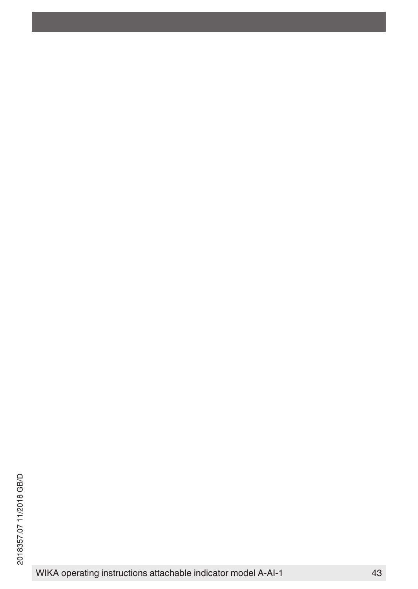WIKA operating instructions attachable indicator model A-AI-1 43